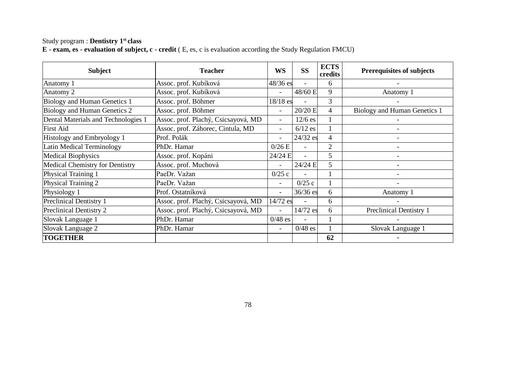#### Study program : **Dentistry 1st class E - exam, es - evaluation of subject, c - credit** ( E, es, c is evaluation according the Study Regulation FMCU)

| <b>Subject</b>                         | <b>Teacher</b>                                  |                                       | <b>ECTS</b><br><b>SS</b><br>WS<br>credits |                   | <b>Prerequisites of subjects</b> |
|----------------------------------------|-------------------------------------------------|---------------------------------------|-------------------------------------------|-------------------|----------------------------------|
| Anatomy 1                              | Assoc. prof. Kubíková                           | 48/36 es                              | ٠                                         | 6                 |                                  |
| Anatomy 2                              | Assoc. prof. Kubíková                           |                                       | 48/60 E                                   | 9                 | Anatomy 1                        |
| Biology and Human Genetics 1           | Assoc. prof. Böhmer                             | $18/18$ es                            | $\overline{\phantom{a}}$                  | 3                 |                                  |
| Biology and Human Genetics 2           | Assoc. prof. Böhmer                             | $\overline{\phantom{a}}$              | $20/20$ E                                 | $\overline{4}$    | Biology and Human Genetics 1     |
| Dental Materials and Technologies 1    | Assoc. prof. Plachý, Csicsayová, MD             | ۰                                     | $12/6$ es                                 |                   |                                  |
| <b>First Aid</b>                       | Assoc. prof. Záhorec, Cintula, MD               | ٠                                     | $6/12$ es                                 |                   |                                  |
| Histology and Embryology 1             | Prof. Polák                                     | -                                     | $24/32$ es                                | $\overline{4}$    |                                  |
| Latin Medical Terminology              | PhDr. Hamar                                     | 0/26E                                 | ٠                                         | $\overline{2}$    |                                  |
| <b>Medical Biophysics</b>              | Assoc. prof. Kopáni                             | 24/24 E                               | ٠                                         | 5                 |                                  |
| <b>Medical Chemistry for Dentistry</b> | Assoc. prof. Muchová                            | ٠                                     | 24/24 E                                   | 5                 |                                  |
| Physical Training 1                    | PaeDr. Važan<br>0/25c<br>٠                      |                                       |                                           |                   |                                  |
| Physical Training 2                    | PaeDr. Važan                                    | ٠                                     | 0/25c                                     |                   |                                  |
| Physiology 1                           | Prof. Ostatníková                               | ٠                                     | $36/36$ es                                | 6                 | Anatomy 1                        |
| <b>Preclinical Dentistry 1</b>         | Assoc. prof. Plachý, Csicsayová, MD<br>14/72 es |                                       | $\overline{a}$                            | 6                 |                                  |
| Preclinical Dentistry 2                | Assoc. prof. Plachý, Csicsayová, MD             |                                       | 14/72 es                                  | 6                 | Preclinical Dentistry 1          |
| Slovak Language 1                      | PhDr. Hamar                                     | $0/48$ es                             |                                           |                   |                                  |
| Slovak Language 2                      | PhDr. Hamar                                     | $0/48$ es<br>$\overline{\phantom{0}}$ |                                           | Slovak Language 1 |                                  |
| <b>TOGETHER</b>                        |                                                 |                                       |                                           | 62                |                                  |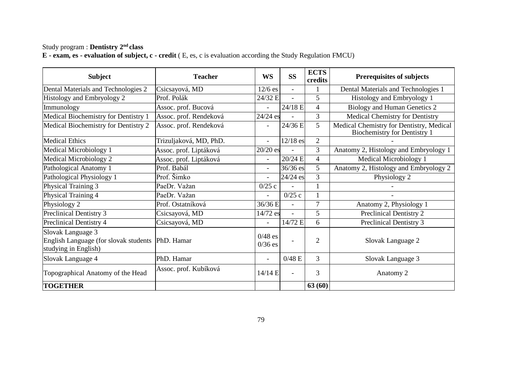#### Study program : **Dentistry 2nd class E - exam, es - evaluation of subject, c - credit** ( E, es, c is evaluation according the Study Regulation FMCU)

| <b>Subject</b>                                                                     | <b>Teacher</b>         |                          | <b>ECTS</b><br><b>SS</b><br><b>WS</b><br>credits |                | <b>Prerequisites of subjects</b>                                                |
|------------------------------------------------------------------------------------|------------------------|--------------------------|--------------------------------------------------|----------------|---------------------------------------------------------------------------------|
| Dental Materials and Technologies 2                                                | Csicsayová, MD         | $12/6$ es                | ä,                                               |                | Dental Materials and Technologies 1                                             |
| Histology and Embryology 2                                                         | Prof. Polák            | 24/32 E                  | L.                                               | 5              | Histology and Embryology 1                                                      |
| Immunology                                                                         | Assoc. prof. Bucová    | ÷.                       | 24/18 E                                          | 4              | Biology and Human Genetics 2                                                    |
| Medical Biochemistry for Dentistry 1                                               | Assoc. prof. Rendeková | $24/24$ es               |                                                  | 3              | Medical Chemistry for Dentistry                                                 |
| Medical Biochemistry for Dentistry 2                                               | Assoc. prof. Rendeková | $\overline{\phantom{0}}$ | 24/36 E                                          | 5              | Medical Chemistry for Dentistry, Medical<br><b>Biochemistry for Dentistry 1</b> |
| <b>Medical Ethics</b>                                                              | Trizuljaková, MD, PhD. | $\overline{\phantom{a}}$ | $12/18$ es                                       | $\overline{c}$ |                                                                                 |
| Medical Microbiology 1                                                             | Assoc. prof. Liptáková | $20/20$ es               |                                                  | 3              | Anatomy 2, Histology and Embryology 1                                           |
| Medical Microbiology 2                                                             | Assoc. prof. Liptáková | ÷.                       | 20/24 E                                          | 4              | Medical Microbiology 1                                                          |
| Pathological Anatomy 1                                                             | Prof. Babál            | $\overline{\phantom{a}}$ | $36/36$ es                                       | 5              | Anatomy 2, Histology and Embryology 2                                           |
| Pathological Physiology 1                                                          | Prof. Šimko            | ٠                        | 24/24 es                                         | 3              | Physiology 2                                                                    |
| Physical Training 3                                                                | PaeDr. Važan           | 0/25c                    | 1                                                |                |                                                                                 |
| Physical Training 4                                                                | PaeDr. Važan           | ÷                        | 0/25c                                            | 1              |                                                                                 |
| Physiology 2                                                                       | Prof. Ostatníková      | 36/36 E                  |                                                  | 7              | Anatomy 2, Physiology 1                                                         |
| Preclinical Dentistry 3                                                            | Csicsayová, MD         | 14/72 es                 |                                                  | 5              | Preclinical Dentistry 2                                                         |
| Preclinical Dentistry 4                                                            | Csicsayová, MD         | ÷.                       | 14/72 E                                          | 6              | Preclinical Dentistry 3                                                         |
| Slovak Language 3<br>English Language (for slovak students<br>studying in English) | PhD. Hamar             | $0/48$ es<br>$0/36$ es   | ٠                                                | $\overline{2}$ | Slovak Language 2                                                               |
| Slovak Language 4                                                                  | PhD. Hamar             | ٠                        | 0/48 E                                           | 3              | Slovak Language 3                                                               |
| Topographical Anatomy of the Head                                                  | Assoc. prof. Kubíková  | 14/14 E                  | L.                                               | 3              | Anatomy 2                                                                       |
| <b>TOGETHER</b>                                                                    |                        |                          |                                                  | 63(60)         |                                                                                 |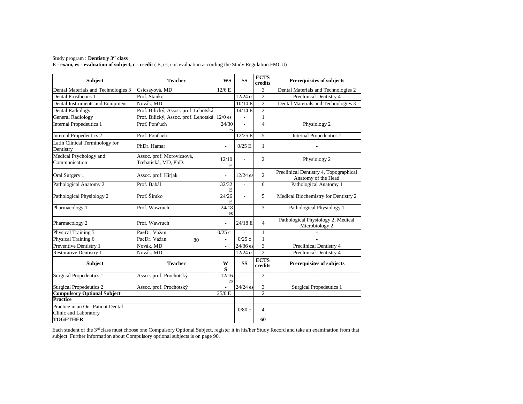### Study program : **Dentistry 3rd class**

**E - exam, es - evaluation of subject, c - credit** ( E, es, c is evaluation according the Study Regulation FMCU)

| <b>Subject</b>                                             | <b>Teacher</b>                                    | <b>WS</b>                | <b>SS</b>      | <b>ECTS</b><br>credits | <b>Prerequisites of subjects</b>                              |  |  |  |
|------------------------------------------------------------|---------------------------------------------------|--------------------------|----------------|------------------------|---------------------------------------------------------------|--|--|--|
| Dental Materials and Technologies 3                        | Csicsayová, MD                                    | 12/6E                    |                | 3                      | Dental Materials and Technologies 2                           |  |  |  |
| <b>Dental Prosthetics 1</b>                                | Prof. Stanko                                      | $\overline{a}$           | $12/24$ es     | $\overline{2}$         | Preclinical Dentistry 4                                       |  |  |  |
| Dental Instruments and Equipment                           | Novák. MD                                         |                          | 10/10 E        | $\overline{c}$         | Dental Materials and Technologies 3                           |  |  |  |
| Dental Radiology                                           | Prof. Bilický, Assoc. prof. Lehotská              | $\overline{a}$           | 14/14 E        | $\overline{2}$         |                                                               |  |  |  |
| <b>General Radiology</b>                                   | Prof. Bilický, Assoc. prof. Lehotská              | $12/0$ es                |                | $\mathbf{1}$           |                                                               |  |  |  |
| <b>Internal Propedeutics 1</b>                             | Prof. Pont'uch                                    | 24/30<br>es              | $\overline{a}$ | $\overline{4}$         | Physiology 2                                                  |  |  |  |
| <b>Internal Propedeutics 2</b>                             | Prof. Pont'uch                                    | $\overline{a}$           | 12/25 E        | 5                      | <b>Internal Propedeutics 1</b>                                |  |  |  |
| Latin Clinical Terminology for<br>Dentistry                | PhDr. Hamar                                       | ÷,                       | $0/25$ E       | $\mathbf{1}$           |                                                               |  |  |  |
| Medical Psychology and<br>Communication                    | Assoc. prof. Morovicsová,<br>Trebatická, MD, PhD. | 12/10<br>E               |                | $\overline{2}$         | Physiology 2                                                  |  |  |  |
| Oral Surgery 1                                             | Assoc. prof. Hirjak                               | L,                       | $12/24$ es     | $\overline{c}$         | Preclinical Dentistry 4, Topographical<br>Anatomy of the Head |  |  |  |
| Pathological Anatomy 2                                     | Prof. Babál                                       | 32/32<br>E               | $\overline{a}$ | 6                      | Pathological Anatomy 1                                        |  |  |  |
| Pathological Physiology 2                                  | Prof. Šimko                                       | 24/26<br>E               |                | 5                      | Medical Biochemistry for Dentistry 2                          |  |  |  |
| Pharmacology 1                                             | Prof. Wawruch                                     | 24/18<br>es              |                | 3                      | Pathological Physiology 1                                     |  |  |  |
| Pharmacology 2                                             | Prof. Wawruch                                     | L,                       | 24/18 E        | $\overline{4}$         | Pathological Physiology 2, Medical<br>Microbiology 2          |  |  |  |
| Physical Training 5                                        | PaeDr. Važan                                      | 0/25c                    |                | $\mathbf{1}$           |                                                               |  |  |  |
| Physical Training 6                                        | PaeDr. Važan<br>80                                | $\overline{\phantom{a}}$ | 0/25c          | $\mathbf{1}$           |                                                               |  |  |  |
| Preventive Dentistry 1                                     | Novák, MD                                         | $\overline{\phantom{a}}$ | 24/36 es       | $\overline{3}$         | Preclinical Dentistry 4                                       |  |  |  |
| <b>Restorative Dentistry 1</b>                             | Novák, MD                                         | $\overline{\phantom{a}}$ | 12/24 es       | $\overline{c}$         | Preclinical Dentistry 4                                       |  |  |  |
| Subject                                                    | <b>Teacher</b>                                    | W<br>${\bf S}$           | <b>SS</b>      | <b>ECTS</b><br>credits | <b>Prerequisites of subjects</b>                              |  |  |  |
| <b>Surgical Propedeutics 1</b>                             | Assoc. prof. Prochotský                           | 12/16<br>es              | ÷,             | $\overline{c}$         | $\overline{\phantom{a}}$                                      |  |  |  |
| <b>Surgical Propedeutics 2</b>                             | Assoc. prof. Prochotský                           | $\overline{a}$           | 24/24 es       | 3                      | <b>Surgical Propedeutics 1</b>                                |  |  |  |
| <b>Compulsory Optional Subject</b>                         |                                                   | 25/0 E                   |                | $\overline{c}$         |                                                               |  |  |  |
| Practice                                                   |                                                   |                          |                |                        |                                                               |  |  |  |
| Practice in an Out-Patient Dental<br>Clinic and Laboratory |                                                   | $\overline{a}$           | 0/80c          | $\overline{4}$         |                                                               |  |  |  |
| <b>TOGETHER</b>                                            |                                                   |                          |                | 60                     |                                                               |  |  |  |

Each student of the 3<sup>rd</sup> class must choose one Compulsory Optional Subject, register it in his/her Study Record and take an examination from that subject. Further information about Compulsory optional subjects is on page 90.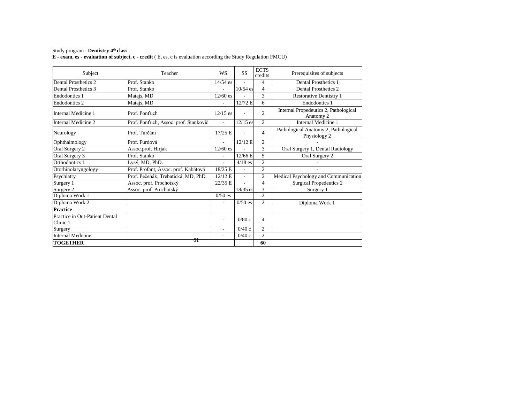# Study program : **Dentistry 4th class**

**E - exam, es - evaluation of subject, c - credit** ( E, es, c is evaluation according the Study Regulation FMCU)

| Subject                                    | Teacher                               | <b>WS</b>                                         | SS         | <b>ECTS</b><br>credits | Prerequisites of subjects                            |  |
|--------------------------------------------|---------------------------------------|---------------------------------------------------|------------|------------------------|------------------------------------------------------|--|
| Dental Prosthetics 2                       | Prof. Stanko                          | $14/54$ es                                        |            | 4                      | <b>Dental Prosthetics 1</b>                          |  |
| Dental Prosthetics 3                       | Prof. Stanko                          | L,                                                | $10/54$ es | 4                      | Dental Prosthetics 2                                 |  |
| <b>Endodontics 1</b>                       | Matajs, MD                            | 3<br>$12/60$ es<br><b>Restorative Dentistry 1</b> |            |                        |                                                      |  |
| <b>Endodontics 2</b>                       | Matajs, MD                            | L,                                                | 12/72 E    | 6                      | Endodontics 1                                        |  |
| Internal Medicine 1                        | Prof. Pont'uch                        | $12/15$ es                                        |            | $\overline{c}$         | Internal Propedeutics 2, Pathological<br>Anatomy 2   |  |
| Internal Medicine 2                        | Prof. Ponťuch, Assoc. prof. Stankovič | $\overline{a}$                                    | $12/15$ es | $\overline{c}$         | Internal Medicine 1                                  |  |
| Neurology                                  | Prof. Turčáni                         | $17/25$ E                                         |            | 4                      | Pathological Anatomy 2, Pathological<br>Physiology 2 |  |
| Ophthalmology                              | Prof. Furdová                         | L.                                                | 12/12 E    | $\overline{c}$         |                                                      |  |
| Oral Surgery 2                             | Assoc.prof. Hirjak                    | $12/60$ es                                        |            | 3                      | Oral Surgery 1, Dental Radiology                     |  |
| Oral Surgery 3                             | Prof. Stanko                          | ٠                                                 | $12/66$ E  | 5.                     | Oral Surgery 2                                       |  |
| Orthodontics 1                             | Lysý, MD, PhD.                        | L,                                                | $4/18$ es  | $\overline{c}$         |                                                      |  |
| Otorhinolaryngology                        | Prof. Profant, Assoc. prof. Kabátová  | 18/25 E                                           |            | $\overline{c}$         |                                                      |  |
| Psychiatry                                 | Prof. Pečeňák, Trebatická, MD, PhD.   | 12/12 E                                           | L,         | $\overline{c}$         | Medical Psychology and Communication                 |  |
| Surgery 1                                  | Assoc. prof. Prochotský               | 22/35 E                                           | ä,         | 4                      | <b>Surgical Propedeutics 2</b>                       |  |
| Surgery 2                                  | Assoc. prof. Prochotský               | ٠                                                 | 18/35 es   | 3                      | Surgery 1                                            |  |
| Diploma Work 1                             |                                       | $0/50$ es                                         |            | $\overline{2}$         |                                                      |  |
| Diploma Work 2                             |                                       | $\overline{a}$                                    | $0/50$ es  | $\overline{c}$         | Diploma Work 1                                       |  |
| <b>Practice</b>                            |                                       |                                                   |            |                        |                                                      |  |
| Practice in Out-Patient Dental<br>Clinic 1 |                                       | $\overline{a}$                                    | 0/80c      | 4                      |                                                      |  |
| Surgery                                    |                                       | ÷                                                 | 0/40c      | $\overline{c}$         |                                                      |  |
| <b>Internal Medicine</b>                   | $\overline{c}$<br>0/40c<br>٠          |                                                   |            |                        |                                                      |  |
| <b>TOGETHER</b>                            | 81                                    |                                                   |            | 60                     |                                                      |  |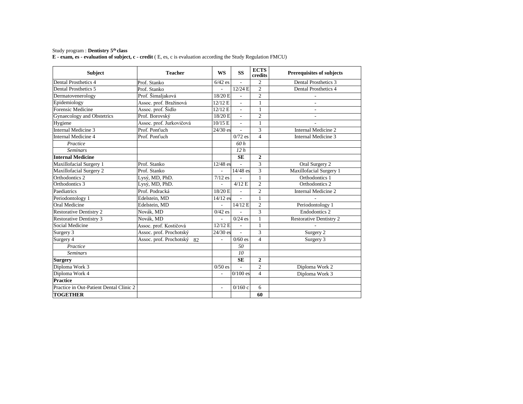# Study program : **Dentistry 5th class**

**E - exam, es - evaluation of subject, c - credit** ( E, es, c is evaluation according the Study Regulation FMCU)

| <b>Subject</b>                          | <b>Teacher</b>                | <b>WS</b>  | <b>SS</b>                | <b>ECTS</b><br>credits  | <b>Prerequisites of subjects</b> |  |  |
|-----------------------------------------|-------------------------------|------------|--------------------------|-------------------------|----------------------------------|--|--|
| Dental Prosthetics 4                    | Prof. Stanko                  | $6/42$ es  |                          | $\overline{c}$          | Dental Prosthetics 3             |  |  |
| Dental Prosthetics 5                    | Prof. Stanko                  | ÷.         | $12/24$ E                | $\overline{2}$          | Dental Prosthetics 4             |  |  |
| Dermatovenerology                       | Prof. Šimaljaková             | 18/20 E    | ÷                        | $\overline{2}$          |                                  |  |  |
| Epidemiology                            | Assoc. prof. Bražinová        | 12/12 E    | $\overline{a}$           | $\mathbf{1}$            | $\overline{\phantom{a}}$         |  |  |
| Forensic Medicine                       | Assoc. prof. Šidlo            | 12/12 E    | $\overline{\phantom{a}}$ | 1                       | $\overline{\phantom{a}}$         |  |  |
| Gynaecology and Obstetrics              | Prof. Borovský                | 18/20 E    | $\overline{\phantom{a}}$ | $\overline{c}$          | $\overline{a}$                   |  |  |
| Hygiene                                 | Assoc. prof. Jurkovičová      | 10/15 E    | $\overline{a}$           | 1                       |                                  |  |  |
| <b>Internal Medicine 3</b>              | Prof. Pont'uch                | $24/30$ es | L.                       | $\overline{3}$          | Internal Medicine 2              |  |  |
| <b>Internal Medicine 4</b>              | Prof. Pont'uch                |            | $0/72$ es                | $\overline{4}$          | Internal Medicine 3              |  |  |
| Practice                                |                               |            | 60h                      |                         |                                  |  |  |
| <b>Seminars</b>                         |                               |            | 12h                      |                         |                                  |  |  |
| <b>Internal Medicine</b>                |                               |            | <b>SE</b>                | $\overline{2}$          |                                  |  |  |
| Maxillofacial Surgery 1                 | Prof. Stanko                  | $12/48$ es |                          | $\overline{3}$          | Oral Surgery 2                   |  |  |
| Maxillofacial Surgery 2                 | Prof. Stanko                  |            | 14/48 es                 | 3                       | Maxillofacial Surgery 1          |  |  |
| Orthodontics 2                          | Lysý, MD, PhD.                | $7/12$ es  |                          | $\mathbf{1}$            | Orthodontics 1                   |  |  |
| Orthodontics 3                          | Lysý, MD, PhD.                |            | 4/12 E                   | $\overline{2}$          | Orthodontics 2                   |  |  |
| Paediatrics                             | Prof. Podracká                | 18/20 E    |                          | $\overline{2}$          | Internal Medicine 2              |  |  |
| Periodontology 1                        | Edelstein, MD<br>$14/12$ es   |            | $\overline{a}$           | 1                       |                                  |  |  |
| Oral Medicine                           | Edelstein, MD                 |            | 14/12 E                  | $\overline{2}$          | Periodontology 1                 |  |  |
| <b>Restorative Dentistry 2</b>          | Novák, MD                     | $0/42$ es  |                          | $\overline{\mathbf{3}}$ | <b>Endodontics 2</b>             |  |  |
| <b>Restorative Dentistry 3</b>          | Novák, MD                     |            | $0/24$ es                | $\mathbf{1}$            | <b>Restorative Dentistry 2</b>   |  |  |
| Social Medicine                         | Assoc. prof. Kostičová        | 12/12 E    |                          | $\mathbf{1}$            |                                  |  |  |
| Surgery 3                               | Assoc. prof. Prochotský       | $24/30$ es | $\overline{a}$           | $\overline{\mathbf{3}}$ | Surgery 2                        |  |  |
| Surgery 4                               | Assoc. prof. Prochotský<br>82 |            | $0/60$ es                | $\overline{4}$          | Surgery 3                        |  |  |
| Practice                                |                               |            | 50                       |                         |                                  |  |  |
| <b>Seminars</b>                         |                               |            | 10                       |                         |                                  |  |  |
| <b>Surgery</b>                          |                               |            | <b>SE</b>                | $\overline{2}$          |                                  |  |  |
| Diploma Work 3                          | $0/50$ es                     |            | $\overline{2}$           | Diploma Work 2          |                                  |  |  |
| Diploma Work 4                          |                               |            | $0/100$ es               | $\overline{4}$          | Diploma Work 3                   |  |  |
| <b>Practice</b>                         |                               |            |                          |                         |                                  |  |  |
| Practice in Out-Patient Dental Clinic 2 | 0/160c<br>6<br>ä,             |            |                          |                         |                                  |  |  |
| <b>TOGETHER</b>                         |                               |            |                          | 60                      |                                  |  |  |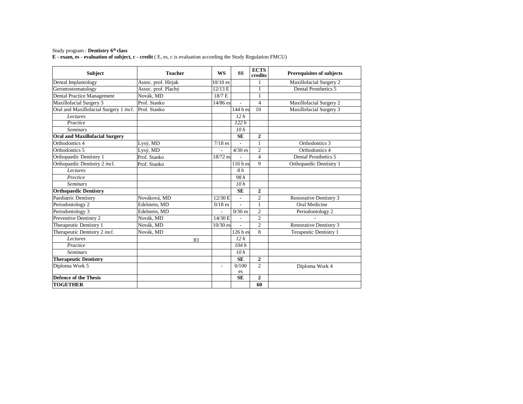# Study program : **Dentistry 6th class**

**E - exam, es - evaluation of subject, c - credit** ( E, es, c is evaluation according the Study Regulation FMCU)

| <b>Subject</b>                         | <b>Teacher</b>      | <b>WS</b>                | <b>SS</b>                | <b>ECTS</b><br>credits   | <b>Prerequisites of subjects</b> |  |  |
|----------------------------------------|---------------------|--------------------------|--------------------------|--------------------------|----------------------------------|--|--|
| Dental Implantology                    | Assoc. prof. Hirjak | $10/10$ es               |                          | 1                        | Maxillofacial Surgery 2          |  |  |
| Gerontostomatology                     | Assoc. prof. Plachý | 12/13 E                  |                          | $\mathbf{1}$             | Dental Prosthetics 5             |  |  |
| Dental Practice Management             | Novák, MD           | 18/7 E                   |                          | 1                        |                                  |  |  |
| Maxillofacial Surgery 3                | Prof. Stanko        | 14/86 es                 |                          | $\overline{\mathcal{L}}$ | Maxillofacial Surgery 2          |  |  |
| Oral and Maxillofacial Surgery 1 incl. | Prof. Stanko        | Maxillofacial Surgery 3  |                          |                          |                                  |  |  |
| Lectures                               |                     |                          | 12h                      |                          |                                  |  |  |
| Practice                               |                     |                          | 122h                     |                          |                                  |  |  |
| <b>Seminars</b>                        |                     |                          | 10h                      |                          |                                  |  |  |
| <b>Oral and Maxillofacial Surgery</b>  |                     |                          | <b>SE</b>                | $\overline{2}$           |                                  |  |  |
| Orthodontics 4                         | Lysý, MD            | $7/18$ es                |                          | $\mathbf{1}$             | Orthodontics 3                   |  |  |
| Orthodontics 5                         | Lysý, MD            |                          | $4/30$ es                | $\overline{c}$           | Orthodontics 4                   |  |  |
| Orthopaedic Dentistry 1                | Prof. Stanko        | 18/72 es                 |                          | 4                        | Dental Prosthetics 5             |  |  |
| Orthopaedic Dentistry 2 incl.          | Prof. Stanko        |                          | $116h$ es                | 9                        | Orthopaedic Dentistry 1          |  |  |
| <b>Lectures</b>                        |                     |                          | 8h                       |                          |                                  |  |  |
| Prectice                               |                     |                          | 98h                      |                          |                                  |  |  |
| <b>Seminars</b>                        |                     |                          | 10h                      |                          |                                  |  |  |
| <b>Orthopaedic Dentistry</b>           |                     |                          | <b>SE</b>                | 2                        |                                  |  |  |
| Paediatric Dentistry                   | Nováková, MD        | 12/30 E                  |                          | 2                        | <b>Restorative Dentistry 3</b>   |  |  |
| Periodontology 2                       | Edelstein, MD       | $0/18$ es                | $\overline{\phantom{0}}$ | $\mathbf{1}$             | <b>Oral Medicine</b>             |  |  |
| Periodontology 3                       | Edelstein, MD       |                          | $0/30$ es                | $\sqrt{2}$               | Periodontology 2                 |  |  |
| Preventive Dentistry 2                 | Novák, MD           | 14/30 E                  |                          | $\overline{2}$           |                                  |  |  |
| Therapeutic Dentistry 1                | Novák, MD           | $10/30$ es               |                          | $\overline{c}$           | <b>Restorative Dentistry 3</b>   |  |  |
| Therapeutic Dentistry 2 incl.          | Novák, MD           |                          | $126h$ es                | 8                        | Terapeutic Dentistry 1           |  |  |
| <b>Lectures</b>                        | 83                  |                          | 12h                      |                          |                                  |  |  |
| Practice                               |                     |                          | 104h                     |                          |                                  |  |  |
| <b>Seminars</b>                        |                     |                          | 10h                      |                          |                                  |  |  |
| <b>Therapeutic Dentistry</b>           |                     |                          | <b>SE</b>                | $\mathbf{2}$             |                                  |  |  |
| Diploma Work 5                         |                     | $\overline{\phantom{a}}$ | 0/100<br>es              | $\overline{c}$           | Diploma Work 4                   |  |  |
| <b>Defence of the Thesis</b>           |                     |                          | <b>SE</b>                | $\overline{2}$           |                                  |  |  |
| <b>TOGETHER</b>                        |                     |                          |                          | 60                       |                                  |  |  |